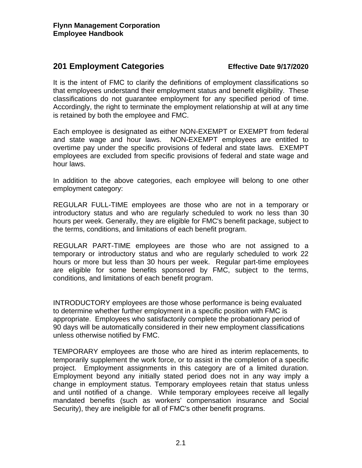# **201 Employment Categories Effective Date 9/17/2020**

It is the intent of FMC to clarify the definitions of employment classifications so that employees understand their employment status and benefit eligibility. These classifications do not guarantee employment for any specified period of time. Accordingly, the right to terminate the employment relationship at will at any time is retained by both the employee and FMC.

Each employee is designated as either NON-EXEMPT or EXEMPT from federal and state wage and hour laws. NON-EXEMPT employees are entitled to overtime pay under the specific provisions of federal and state laws. EXEMPT employees are excluded from specific provisions of federal and state wage and hour laws.

In addition to the above categories, each employee will belong to one other employment category:

REGULAR FULL-TIME employees are those who are not in a temporary or introductory status and who are regularly scheduled to work no less than 30 hours per week. Generally, they are eligible for FMC's benefit package, subject to the terms, conditions, and limitations of each benefit program.

REGULAR PART-TIME employees are those who are not assigned to a temporary or introductory status and who are regularly scheduled to work 22 hours or more but less than 30 hours per week. Regular part-time employees are eligible for some benefits sponsored by FMC, subject to the terms, conditions, and limitations of each benefit program.

INTRODUCTORY employees are those whose performance is being evaluated to determine whether further employment in a specific position with FMC is appropriate. Employees who satisfactorily complete the probationary period of 90 days will be automatically considered in their new employment classifications unless otherwise notified by FMC.

TEMPORARY employees are those who are hired as interim replacements, to temporarily supplement the work force, or to assist in the completion of a specific project. Employment assignments in this category are of a limited duration. Employment beyond any initially stated period does not in any way imply a change in employment status. Temporary employees retain that status unless and until notified of a change. While temporary employees receive all legally mandated benefits (such as workers' compensation insurance and Social Security), they are ineligible for all of FMC's other benefit programs.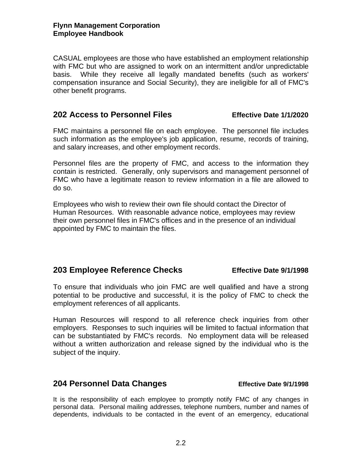CASUAL employees are those who have established an employment relationship with FMC but who are assigned to work on an intermittent and/or unpredictable basis. While they receive all legally mandated benefits (such as workers' compensation insurance and Social Security), they are ineligible for all of FMC's other benefit programs.

### **202 Access to Personnel Files Effective Date 1/1/2020**

FMC maintains a personnel file on each employee. The personnel file includes such information as the employee's job application, resume, records of training, and salary increases, and other employment records.

Personnel files are the property of FMC, and access to the information they contain is restricted. Generally, only supervisors and management personnel of FMC who have a legitimate reason to review information in a file are allowed to do so.

Employees who wish to review their own file should contact the Director of Human Resources. With reasonable advance notice, employees may review their own personnel files in FMC's offices and in the presence of an individual appointed by FMC to maintain the files.

### **203 Employee Reference Checks Effective Date 9/1/1998**

To ensure that individuals who join FMC are well qualified and have a strong potential to be productive and successful, it is the policy of FMC to check the employment references of all applicants.

Human Resources will respond to all reference check inquiries from other employers. Responses to such inquiries will be limited to factual information that can be substantiated by FMC's records. No employment data will be released without a written authorization and release signed by the individual who is the subject of the inquiry.

### **204 Personnel Data Changes Effective Date 9/1/1998**

It is the responsibility of each employee to promptly notify FMC of any changes in personal data. Personal mailing addresses, telephone numbers, number and names of dependents, individuals to be contacted in the event of an emergency, educational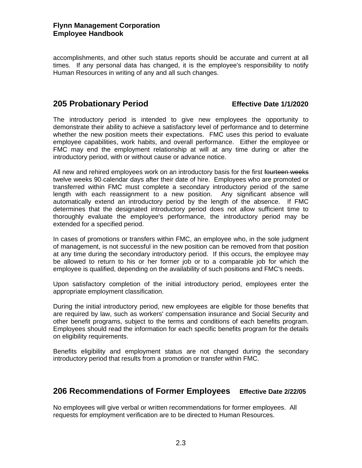accomplishments, and other such status reports should be accurate and current at all times. If any personal data has changed, it is the employee's responsibility to notify Human Resources in writing of any and all such changes.

### **205 Probationary Period Effective Date 1/1/2020**

The introductory period is intended to give new employees the opportunity to demonstrate their ability to achieve a satisfactory level of performance and to determine whether the new position meets their expectations. FMC uses this period to evaluate employee capabilities, work habits, and overall performance. Either the employee or FMC may end the employment relationship at will at any time during or after the introductory period, with or without cause or advance notice.

All new and rehired employees work on an introductory basis for the first fourteen weeks twelve weeks 90 calendar days after their date of hire. Employees who are promoted or transferred within FMC must complete a secondary introductory period of the same length with each reassignment to a new position. Any significant absence will automatically extend an introductory period by the length of the absence. If FMC determines that the designated introductory period does not allow sufficient time to thoroughly evaluate the employee's performance, the introductory period may be extended for a specified period.

In cases of promotions or transfers within FMC, an employee who, in the sole judgment of management, is not successful in the new position can be removed from that position at any time during the secondary introductory period. If this occurs, the employee may be allowed to return to his or her former job or to a comparable job for which the employee is qualified, depending on the availability of such positions and FMC's needs.

Upon satisfactory completion of the initial introductory period, employees enter the appropriate employment classification.

During the initial introductory period, new employees are eligible for those benefits that are required by law, such as workers' compensation insurance and Social Security and other benefit programs, subject to the terms and conditions of each benefits program. Employees should read the information for each specific benefits program for the details on eligibility requirements.

Benefits eligibility and employment status are not changed during the secondary introductory period that results from a promotion or transfer within FMC.

### **206 Recommendations of Former Employees Effective Date 2/22/05**

No employees will give verbal or written recommendations for former employees. All requests for employment verification are to be directed to Human Resources.